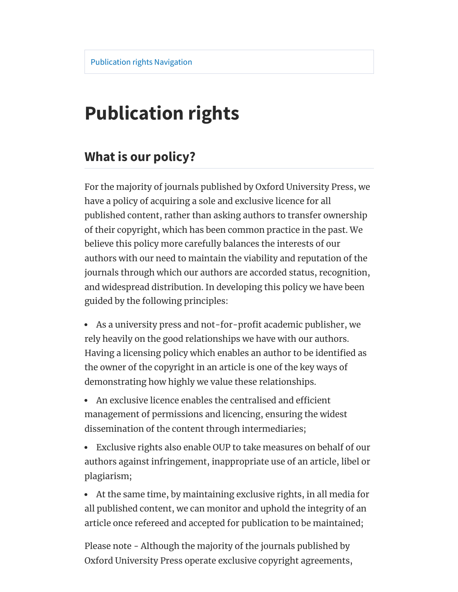# **Publication rights**

#### **What is our policy?**

For the majority of journals published by Oxford University Press, we have a policy of acquiring a sole and exclusive licence for all published content, rather than asking authors to transfer ownership of their copyright, which has been common practice in the past. We believe this policy more carefully balances the interests of our authors with our need to maintain the viability and reputation of the journals through which our authors are accorded status, recognition, and widespread distribution. In developing this policy we have been guided by the following principles:

- As a university press and not-for-profit academic publisher, we rely heavily on the good relationships we have with our authors. Having a licensing policy which enables an author to be identified as the owner of the copyright in an article is one of the key ways of demonstrating how highly we value these relationships.
- An exclusive licence enables the centralised and efficient management of permissions and licencing, ensuring the widest dissemination of the content through intermediaries;
- Exclusive rights also enable OUP to take measures on behalf of our authors against infringement, inappropriate use of an article, libel or plagiarism;
- At the same time, by maintaining exclusive rights, in all media for all published content, we can monitor and uphold the integrity of an article once refereed and accepted for publication to be maintained;

Please note - Although the majority of the journals published by Oxford University Press operate exclusive copyright agreements,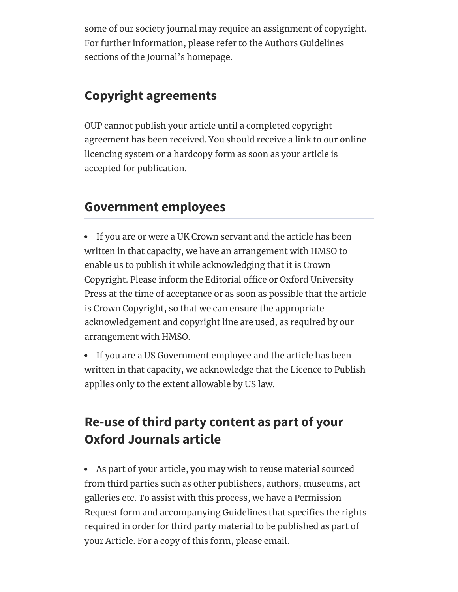some of our society journal may require an assignment of copyright. For further information, please refer to the Authors Guidelines sections of the Journal's homepage.

#### **Copyright agreements**

OUP cannot publish your article until a completed copyright agreement has been received. You should receive a link to our online licencing system or a hardcopy form as soon as your article is accepted for publication.

#### **Government employees**

If you are or were a UK Crown servant and the article has been written in that capacity, we have an arrangement with HMSO to enable us to publish it while acknowledging that it is Crown Copyright. Please inform the Editorial office or Oxford University Press at the time of acceptance or as soon as possible that the article is Crown Copyright, so that we can ensure the appropriate acknowledgement and copyright line are used, as required by our arrangement with HMSO.

• If you are a US Government employee and the article has been written in that capacity, we acknowledge that the Licence to Publish applies only to the extent allowable by US law.

## **Re-use of third party content as part of your Oxford Journals article**

As part of your article, you may wish to reuse material sourced from third parties such as other publishers, authors, museums, art galleries etc. To assist with this process, we have a Permission Request form and accompanying Guidelines that specifies the rights required in order for third party material to be published as part of your Article. For a copy of this form, please email.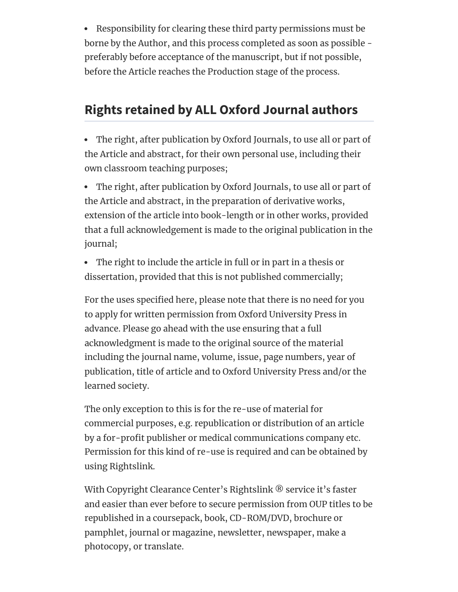Responsibility for clearing these third party permissions must be borne by the Author, and this process completed as soon as possible preferably before acceptance of the manuscript, but if not possible, before the Article reaches the Production stage of the process.

#### **Rights retained by ALL Oxford Journal authors**

The right, after publication by Oxford Journals, to use all or part of the Article and abstract, for their own personal use, including their own classroom teaching purposes;

The right, after publication by Oxford Journals, to use all or part of the Article and abstract, in the preparation of derivative works, extension of the article into book-length or in other works, provided that a full acknowledgement is made to the original publication in the journal;

The right to include the article in full or in part in a thesis or dissertation, provided that this is not published commercially;

For the uses specified here, please note that there is no need for you to apply for written permission from Oxford University Press in advance. Please go ahead with the use ensuring that a full acknowledgment is made to the original source of the material including the journal name, volume, issue, page numbers, year of publication, title of article and to Oxford University Press and/or the learned society.

The only exception to this is for the re-use of material for commercial purposes, e.g. republication or distribution of an article by a for-profit publisher or medical communications company etc. Permission for this kind of re-use is required and can be obtained by using Rightslink.

With Copyright Clearance Center's Rightslink ® service it's faster and easier than ever before to secure permission from OUP titles to be republished in a coursepack, book, CD-ROM/DVD, brochure or pamphlet, journal or magazine, newsletter, newspaper, make a photocopy, or translate.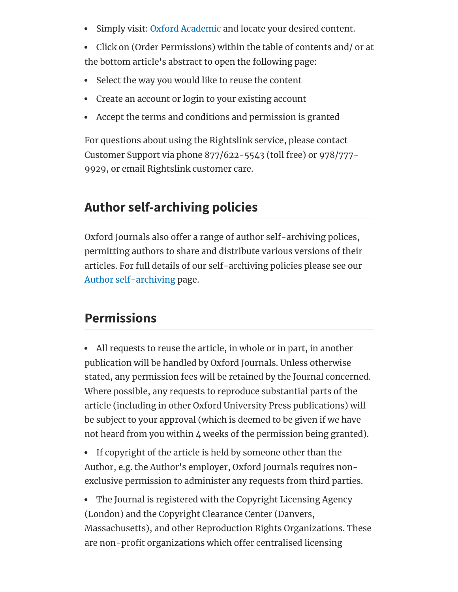- Simply visit: Oxford [Academic](https://academic.oup.com/journals) and locate your desired content.
- Click on (Order Permissions) within the table of contents and/ or at the bottom article's abstract to open the following page:
- Select the way you would like to reuse the content
- Create an account or login to your existing account
- Accept the terms and conditions and permission is granted

For questions about using the Rightslink service, please contact Customer Support via phone 877/622-5543 (toll free) or 978/777- 9929, or email Rightslink customer care.

#### **Author self-archiving policies**

Oxford Journals also offer a range of author self-archiving polices, permitting authors to share and distribute various versions of their articles. For full details of our self-archiving policies please see our Author [self-archiving](https://academic.oup.com/journals/pages/access_purchase/rights_and_permissions/author_self_archiving_policy) page.

## **Permissions**

All requests to reuse the article, in whole or in part, in another publication will be handled by Oxford Journals. Unless otherwise stated, any permission fees will be retained by the Journal concerned. Where possible, any requests to reproduce substantial parts of the article (including in other Oxford University Press publications) will be subject to your approval (which is deemed to be given if we have not heard from you within 4 weeks of the permission being granted).

• If copyright of the article is held by someone other than the Author, e.g. the Author's employer, Oxford Journals requires nonexclusive permission to administer any requests from third parties.

The Journal is registered with the Copyright Licensing Agency (London) and the Copyright Clearance Center (Danvers, Massachusetts), and other Reproduction Rights Organizations. These are non-profit organizations which offer centralised licensing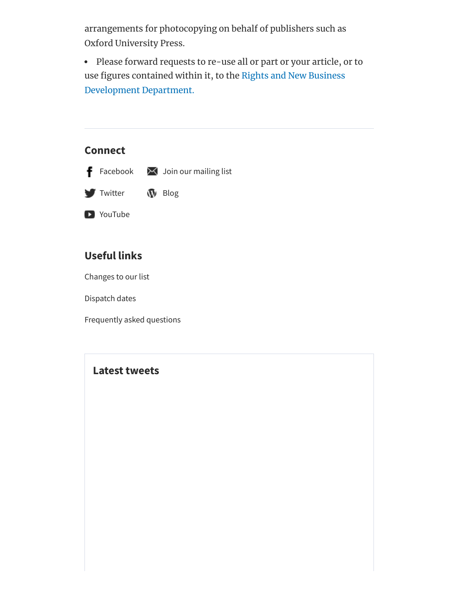arrangements for photocopying on behalf of publishers such as Oxford University Press.

Please forward requests to re-use all or part or your article, or to use figures contained within it, to the Rights and New Business [Development](https://academic.oup.com/journals/pages/contact_us/rights_and_permissions_contacts) Department.

## **Connect**



#### **Useful links**

[Changes to our list](https://academic.oup.com/journals/pages/access_purchase/changes_to_list)

[Dispatch dates](https://academic.oup.com/journals/pages/access_purchase/dispatch_dates)

[Frequently asked questions](https://academic.oup.com/journals/pages/help/faqs)

#### **Latest tweets**